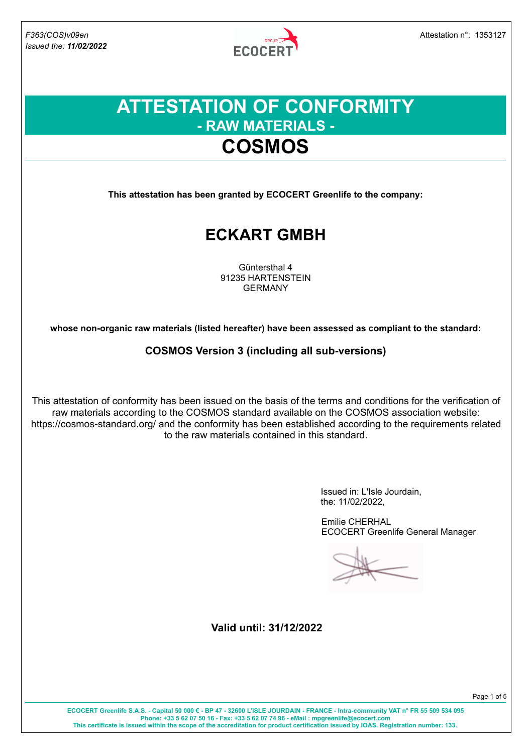

## **ATTESTATION OF CONFORMITY - RAW MATERIALS - COSMOS**

**This attestation has been granted by ECOCERT Greenlife to the company:**

## **ECKART GMBH**

Güntersthal 4 91235 HARTENSTEIN GERMANY

**whose non-organic raw materials (listed hereafter) have been assessed as compliant to the standard:**

**COSMOS Version 3 (including all sub-versions)**

This attestation of conformity has been issued on the basis of the terms and conditions for the verification of raw materials according to the COSMOS standard available on the COSMOS association website: https://cosmos-standard.org/ and the conformity has been established according to the requirements related to the raw materials contained in this standard.

> Issued in: L'Isle Jourdain, the: 11/02/2022,

Emilie CHERHAL ECOCERT Greenlife General Manager

**Valid until: 31/12/2022**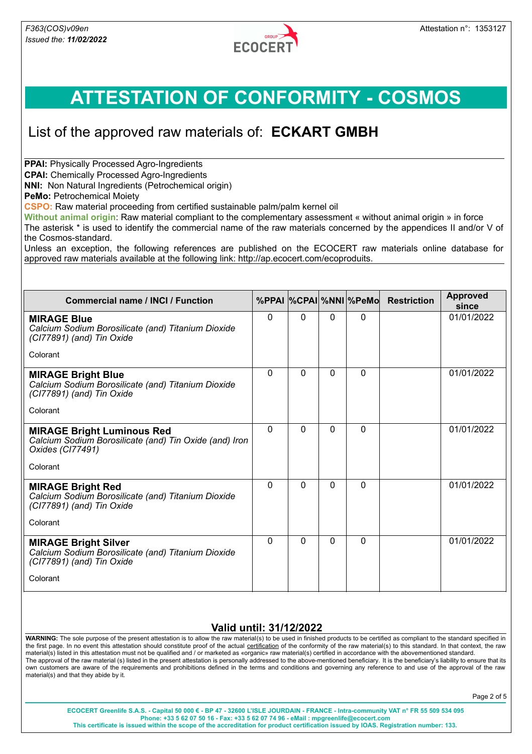

### List of the approved raw materials of: **ECKART GMBH**

**PPAI: Physically Processed Agro-Ingredients** 

**CPAI:** Chemically Processed Agro-Ingredients

**NNI:** Non Natural Ingredients (Petrochemical origin)

**PeMo: Petrochemical Moiety** 

**CSPO:** Raw material proceeding from certified sustainable palm/palm kernel oil

**Without animal origin**: Raw material compliant to the complementary assessment « without animal origin » in force The asterisk \* is used to identify the commercial name of the raw materials concerned by the appendices II and/or V of the Cosmos-standard.

Unless an exception, the following references are published on the ECOCERT raw materials online database for approved raw materials available at the following link: http://ap.ecocert.com/ecoproduits.

| <b>Commercial name / INCI / Function</b>                                                                        |          |          |          | %PPAI  %CPAI  %NNI  %PeMo | <b>Restriction</b> | <b>Approved</b><br>since |
|-----------------------------------------------------------------------------------------------------------------|----------|----------|----------|---------------------------|--------------------|--------------------------|
| <b>MIRAGE Blue</b><br>Calcium Sodium Borosilicate (and) Titanium Dioxide<br>(CI77891) (and) Tin Oxide           | 0        | 0        | $\Omega$ | $\Omega$                  |                    | 01/01/2022               |
| Colorant                                                                                                        |          |          |          |                           |                    |                          |
| <b>MIRAGE Bright Blue</b><br>Calcium Sodium Borosilicate (and) Titanium Dioxide<br>(CI77891) (and) Tin Oxide    | 0        | 0        | $\Omega$ | $\Omega$                  |                    | 01/01/2022               |
| Colorant                                                                                                        |          |          |          |                           |                    |                          |
| <b>MIRAGE Bright Luminous Red</b><br>Calcium Sodium Borosilicate (and) Tin Oxide (and) Iron<br>Oxides (CI77491) | $\Omega$ | $\Omega$ | $\Omega$ | $\Omega$                  |                    | 01/01/2022               |
| Colorant                                                                                                        |          |          |          |                           |                    |                          |
| <b>MIRAGE Bright Red</b><br>Calcium Sodium Borosilicate (and) Titanium Dioxide<br>(CI77891) (and) Tin Oxide     | 0        | $\Omega$ | $\Omega$ | $\Omega$                  |                    | 01/01/2022               |
| Colorant                                                                                                        |          |          |          |                           |                    |                          |
| <b>MIRAGE Bright Silver</b><br>Calcium Sodium Borosilicate (and) Titanium Dioxide<br>(CI77891) (and) Tin Oxide  | $\Omega$ | $\Omega$ | $\Omega$ | $\Omega$                  |                    | 01/01/2022               |
| Colorant                                                                                                        |          |          |          |                           |                    |                          |

#### **Valid until: 31/12/2022**

**WARNING:** The sole purpose of the present attestation is to allow the raw material(s) to be used in finished products to be certified as compliant to the standard specified in the first page. In no event this attestation should constitute proof of the actual certification of the conformity of the raw material(s) to this standard. In that context, the raw material(s) listed in this attestation must not be qualified and / or marketed as «organic» raw material(s) certified in accordance with the abovementioned standard. The approval of the raw material (s) listed in the present attestation is personally addressed to the above-mentioned beneficiary. It is the beneficiary's liability to ensure that its own customers are aware of the requirements and prohibitions defined in the terms and conditions and governing any reference to and use of the approval of the raw material(s) and that they abide by it.

Page 2 of 5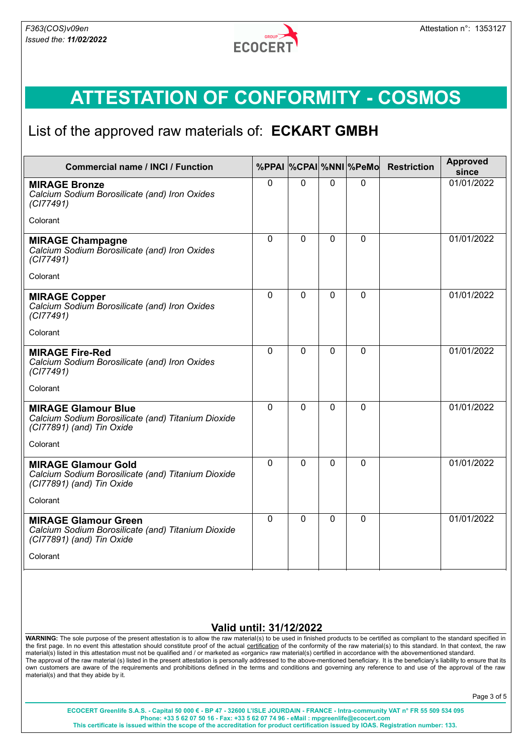

### List of the approved raw materials of: **ECKART GMBH**

| <b>Commercial name / INCI / Function</b>                                                                       |              |              |              | %PPAI %CPAI %NNI %PeMo | <b>Restriction</b> | <b>Approved</b><br>since |
|----------------------------------------------------------------------------------------------------------------|--------------|--------------|--------------|------------------------|--------------------|--------------------------|
| <b>MIRAGE Bronze</b><br>Calcium Sodium Borosilicate (and) Iron Oxides<br>(CI77491)                             | $\Omega$     | $\mathbf{0}$ | $\mathbf{0}$ | $\mathbf{0}$           |                    | 01/01/2022               |
| Colorant                                                                                                       |              |              |              |                        |                    |                          |
| <b>MIRAGE Champagne</b><br>Calcium Sodium Borosilicate (and) Iron Oxides<br>(CI77491)                          | $\Omega$     | $\mathbf{0}$ | $\mathbf{0}$ | $\mathbf{0}$           |                    | 01/01/2022               |
| Colorant                                                                                                       |              |              |              |                        |                    |                          |
| <b>MIRAGE Copper</b><br>Calcium Sodium Borosilicate (and) Iron Oxides<br>(CI77491)                             | $\Omega$     | $\mathbf{0}$ | $\Omega$     | $\mathbf 0$            |                    | 01/01/2022               |
| Colorant                                                                                                       |              |              |              |                        |                    |                          |
| <b>MIRAGE Fire-Red</b><br>Calcium Sodium Borosilicate (and) Iron Oxides<br>(CI77491)                           | $\Omega$     | $\mathbf{0}$ | $\Omega$     | $\mathbf 0$            |                    | 01/01/2022               |
| Colorant                                                                                                       |              |              |              |                        |                    |                          |
| <b>MIRAGE Glamour Blue</b><br>Calcium Sodium Borosilicate (and) Titanium Dioxide<br>(CI77891) (and) Tin Oxide  | $\mathbf{0}$ | $\mathbf{0}$ | $\Omega$     | $\mathbf 0$            |                    | 01/01/2022               |
| Colorant                                                                                                       |              |              |              |                        |                    |                          |
| <b>MIRAGE Glamour Gold</b><br>Calcium Sodium Borosilicate (and) Titanium Dioxide<br>(CI77891) (and) Tin Oxide  | $\Omega$     | $\Omega$     | $\Omega$     | $\Omega$               |                    | 01/01/2022               |
| Colorant                                                                                                       |              |              |              |                        |                    |                          |
| <b>MIRAGE Glamour Green</b><br>Calcium Sodium Borosilicate (and) Titanium Dioxide<br>(CI77891) (and) Tin Oxide | $\mathbf{0}$ | $\mathbf{0}$ | $\Omega$     | $\mathbf 0$            |                    | 01/01/2022               |
| Colorant                                                                                                       |              |              |              |                        |                    |                          |

#### **Valid until: 31/12/2022**

**WARNING:** The sole purpose of the present attestation is to allow the raw material(s) to be used in finished products to be certified as compliant to the standard specified in the first page. In no event this attestation should constitute proof of the actual certification of the conformity of the raw material(s) to this standard. In that context, the raw material(s) listed in this attestation must not be qualified and / or marketed as «organic» raw material(s) certified in accordance with the abovementioned standard. The approval of the raw material (s) listed in the present attestation is personally addressed to the above-mentioned beneficiary. It is the beneficiary's liability to ensure that its own customers are aware of the requirements and prohibitions defined in the terms and conditions and governing any reference to and use of the approval of the raw material(s) and that they abide by it.

Page 3 of 5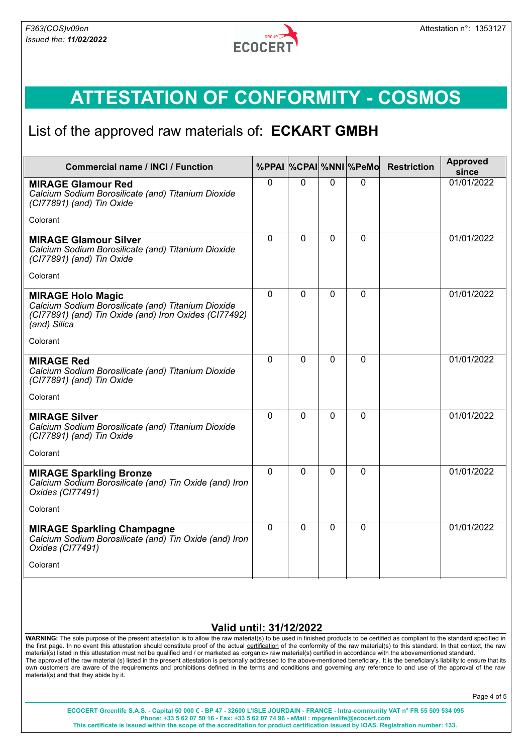

### List of the approved raw materials of: **ECKART GMBH**

| <b>Commercial name / INCI / Function</b>                                                                                                                |          |          |             | %PPAI %CPAI %NNI %PeMo | <b>Restriction</b> | <b>Approved</b><br>since |
|---------------------------------------------------------------------------------------------------------------------------------------------------------|----------|----------|-------------|------------------------|--------------------|--------------------------|
| <b>MIRAGE Glamour Red</b><br>Calcium Sodium Borosilicate (and) Titanium Dioxide<br>(CI77891) (and) Tin Oxide                                            | $\Omega$ | $\Omega$ | $\Omega$    | $\Omega$               |                    | 01/01/2022               |
| Colorant                                                                                                                                                |          |          |             |                        |                    |                          |
| <b>MIRAGE Glamour Silver</b><br>Calcium Sodium Borosilicate (and) Titanium Dioxide<br>(CI77891) (and) Tin Oxide                                         | $\Omega$ | $\Omega$ | $\mathbf 0$ | 0                      |                    | 01/01/2022               |
| Colorant                                                                                                                                                |          |          |             |                        |                    |                          |
| <b>MIRAGE Holo Magic</b><br>Calcium Sodium Borosilicate (and) Titanium Dioxide<br>(CI77891) (and) Tin Oxide (and) Iron Oxides (CI77492)<br>(and) Silica | $\Omega$ | 0        | $\mathbf 0$ | 0                      |                    | 01/01/2022               |
| Colorant                                                                                                                                                |          |          |             |                        |                    |                          |
| <b>MIRAGE Red</b><br>Calcium Sodium Borosilicate (and) Titanium Dioxide<br>(CI77891) (and) Tin Oxide<br>Colorant                                        | $\Omega$ | $\Omega$ | $\Omega$    | $\mathbf 0$            |                    | 01/01/2022               |
| <b>MIRAGE Silver</b><br>Calcium Sodium Borosilicate (and) Titanium Dioxide<br>(CI77891) (and) Tin Oxide                                                 | $\Omega$ | $\Omega$ | $\Omega$    | $\mathbf 0$            |                    | 01/01/2022               |
| Colorant                                                                                                                                                |          |          |             |                        |                    |                          |
| <b>MIRAGE Sparkling Bronze</b><br>Calcium Sodium Borosilicate (and) Tin Oxide (and) Iron<br>Oxides (CI77491)                                            | $\Omega$ | $\Omega$ | $\Omega$    | $\Omega$               |                    | 01/01/2022               |
| Colorant                                                                                                                                                |          |          |             |                        |                    |                          |
| <b>MIRAGE Sparkling Champagne</b><br>Calcium Sodium Borosilicate (and) Tin Oxide (and) Iron<br>Oxides (CI77491)                                         | $\Omega$ | $\Omega$ | $\Omega$    | 0                      |                    | 01/01/2022               |
| Colorant                                                                                                                                                |          |          |             |                        |                    |                          |

#### **Valid until: 31/12/2022**

**WARNING:** The sole purpose of the present attestation is to allow the raw material(s) to be used in finished products to be certified as compliant to the standard specified in the first page. In no event this attestation should constitute proof of the actual certification of the conformity of the raw material(s) to this standard. In that context, the raw material(s) listed in this attestation must not be qualified and / or marketed as «organic» raw material(s) certified in accordance with the abovementioned standard. The approval of the raw material (s) listed in the present attestation is personally addressed to the above-mentioned beneficiary. It is the beneficiary's liability to ensure that its own customers are aware of the requirements and prohibitions defined in the terms and conditions and governing any reference to and use of the approval of the raw material(s) and that they abide by it.

Page 4 of 5